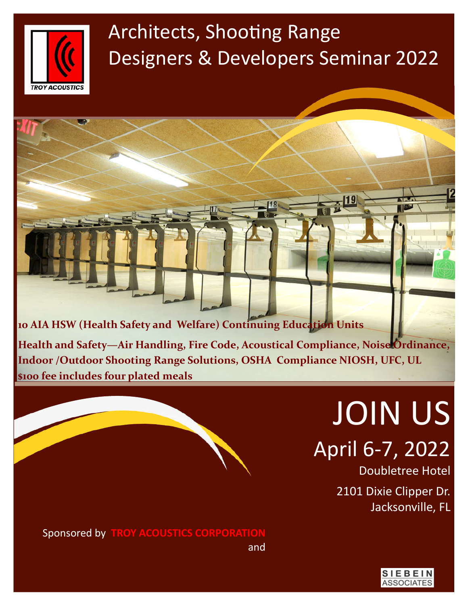

# Architects, Shooting Range Designers & Developers Seminar 2022

**10 AIA HSW (Health Safety and Welfare) Continuing Education Units Health and Safety—Air Handling, Fire Code, Acoustical Compliance, Noise Ordinance, Indoor /Outdoor Shooting Range Solutions, OSHA Compliance NIOSH, UFC, UL \$100 fee includes four plated meals**

> JOIN US April 6-7, 2022

> > Doubletree Hotel 2101 Dixie Clipper Dr. Jacksonville, FL

Sponsored by **TROY ACOUSTICS CORPORATION** and

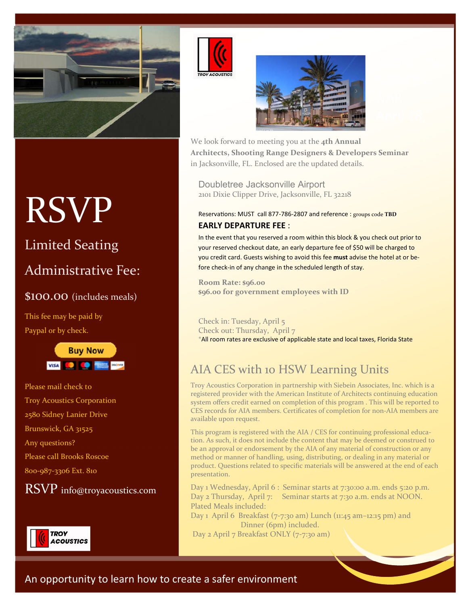





We look forward to meeting you at the **4th Annual Architects, Shooting Range Designers & Developers Seminar**  in Jacksonville, FL. Enclosed are the updated details.

Doubletree Jacksonville Airport 2101 Dixie Clipper Drive, Jacksonville, FL 32218

Reservations: MUST call 877-786-2807 and reference : groups code TBD **EARLY DEPARTURE FEE** :

In the event that you reserved a room within this block & you check out prior to your reserved checkout date, an early departure fee of \$50 will be charged to you credit card. Guests wishing to avoid this fee **must** advise the hotel at or before check-in of any change in the scheduled length of stay.

**Room Rate: \$96.00 \$96.00 for government employees with ID** 

#### Check in: Tuesday, April 5 Check out: Thursday, April 7 \*All room rates are exclusive of applicable state and local taxes, Florida State

### AIA CES with 10 HSW Learning Units

Troy Acoustics Corporation in partnership with Siebein Associates, Inc. which is a registered provider with the American Institute of Architects continuing education system offers credit earned on completion of this program . This will be reported to CES records for AIA members. Certificates of completion for non-AIA members are available upon request.

This program is registered with the AIA / CES for continuing professional education. As such, it does not include the content that may be deemed or construed to be an approval or endorsement by the AIA of any material of construction or any method or manner of handling, using, distributing, or dealing in any material or product. Questions related to specific materials will be answered at the end of each presentation.

Day 1 Wednesday, April 6 : Seminar starts at 7:30:00 a.m. ends 5:20 p.m. Day 2 Thursday, April 7: Seminar starts at 7:30 a.m. ends at NOON. Plated Meals included:

Day 1 April 6 Breakfast (7-7:30 am) Lunch (11:45 am-12:15 pm) and Dinner (6pm) included. Day 2 April 7 Breakfast ONLY (7-7:30 am)

# RSVP

# Limited Seating

### Administrative Fee:

### \$100.00 (includes meals)

This fee may be paid by Paypal or by check.



Please mail check to Troy Acoustics Corporation 2580 Sidney Lanier Drive Brunswick, GA 31525 Any questions? Please call Brooks Roscoe 800-987-3306 Ext. 810

RSVP info@troyacoustics.com

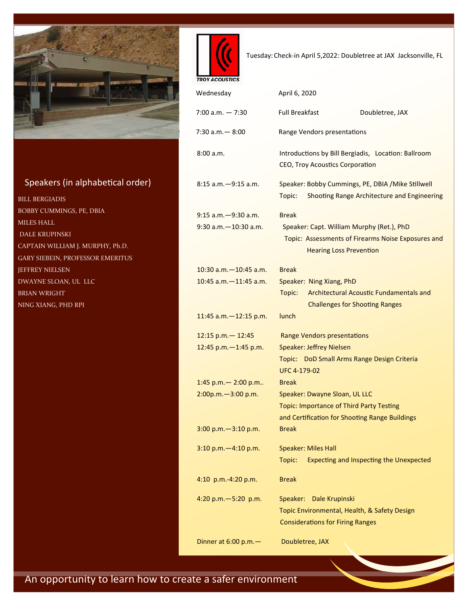

### Speakers (in alphabetical order)

BILL BERGIADIS BOBBY CUMMINGS, PE, DBIA MILES HALL DALE KRUPINSKI CAPTAIN WILLIAM J. MURPHY, Ph.D. GARY SIEBEIN, PROFESSOR EMERITUS JEFFREY NIELSEN DWAYNE SLOAN, UL LLC BRIAN WRIGHT NING XIANG, PHD RPI



Tuesday: Check-in April 5,2022: Doubletree at JAX Jacksonville, FL<br>
Tuesday: Check-in April 5,2022: Doubletree at JAX Jacksonville, FL

| <b>TROY ACOUSTICS</b>                           |                                                                                                                                                   |
|-------------------------------------------------|---------------------------------------------------------------------------------------------------------------------------------------------------|
| Wednesday                                       | April 6, 2020                                                                                                                                     |
| 7:00 a.m. - 7:30                                | <b>Full Breakfast</b><br>Doubletree, JAX                                                                                                          |
| 7:30 a.m.— 8:00                                 | Range Vendors presentations                                                                                                                       |
| 8:00a.m.                                        | Introductions by Bill Bergiadis, Location: Ballroom<br>CEO, Troy Acoustics Corporation                                                            |
| 8:15 a.m. - 9:15 a.m.                           | Speaker: Bobby Cummings, PE, DBIA / Mike Stillwell<br>Shooting Range Architecture and Engineering<br>Topic:                                       |
| 9:15 a.m. - 9:30 a.m.<br>9:30 a.m. - 10:30 a.m. | <b>Break</b><br>Speaker: Capt. William Murphy (Ret.), PhD<br>Topic: Assessments of Firearms Noise Exposures and<br><b>Hearing Loss Prevention</b> |
| 10:30 a.m. - 10:45 a.m.                         | <b>Break</b>                                                                                                                                      |
| 10:45 a.m. - 11:45 a.m.                         | Speaker: Ning Xiang, PhD<br>Architectural Acoustic Fundamentals and<br>Topic:<br><b>Challenges for Shooting Ranges</b>                            |
| $11:45$ a.m. $-12:15$ p.m.                      | lunch                                                                                                                                             |
| $12:15$ p.m. - 12:45                            | Range Vendors presentations                                                                                                                       |
| 12:45 p.m. - 1:45 p.m.                          | Speaker: Jeffrey Nielsen                                                                                                                          |
|                                                 | Topic: DoD Small Arms Range Design Criteria<br><b>UFC 4-179-02</b>                                                                                |
| 1:45 p.m. $-$ 2:00 p.m                          | <b>Break</b>                                                                                                                                      |
| $2:00p.m. - 3:00 p.m.$                          | Speaker: Dwayne Sloan, UL LLC                                                                                                                     |
|                                                 | <b>Topic: Importance of Third Party Testing</b>                                                                                                   |
|                                                 | and Certification for Shooting Range Buildings                                                                                                    |
| 3:00 p.m. - 3:10 p.m.                           | <b>Break</b>                                                                                                                                      |
| 3:10 p.m. - 4:10 p.m.                           | <b>Speaker: Miles Hall</b><br>Expecting and Inspecting the Unexpected<br>Topic:                                                                   |
| 4:10 p.m.-4:20 p.m.                             | <b>Break</b>                                                                                                                                      |
| 4:20 p.m. - 5:20 p.m.                           | Speaker:<br>Dale Krupinski<br>Topic Environmental, Health, & Safety Design<br><b>Considerations for Firing Ranges</b>                             |
| Dinner at 6:00 p.m.-                            | Doubletree, JAX                                                                                                                                   |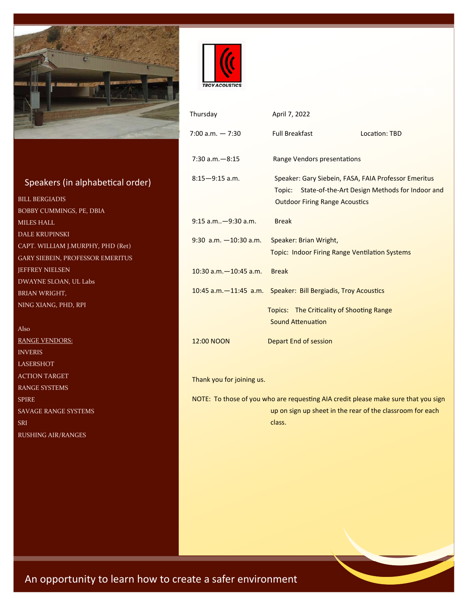

### Speakers (in alphabetical order)

BILL BERGIADIS BOBBY CUMMINGS, PE, DBIA MILES HALL DALE KRUPINSKI CAPT. WILLIAM J.MURPHY, PHD (Ret) GARY SIEBEIN, PROFESSOR EMERITUS JEFFREY NIELSEN DWAYNE SLOAN, UL Labs BRIAN WRIGHT, NING XIANG, PHD, RPI

Also RANGE VENDORS: INVERIS LASERSHOT ACTION TARGET RANGE SYSTEMS SPIRE SAVAGE RANGE SYSTEMS SRI RUSHING AIR/RANGES



| Thursday                                                                                                                                                  | April 7, 2022                                                                                                                                             |               |  |  |  |
|-----------------------------------------------------------------------------------------------------------------------------------------------------------|-----------------------------------------------------------------------------------------------------------------------------------------------------------|---------------|--|--|--|
| $7:00$ a.m. $-7:30$                                                                                                                                       | <b>Full Breakfast</b>                                                                                                                                     | Location: TBD |  |  |  |
| $7:30$ a.m. $-8:15$                                                                                                                                       | Range Vendors presentations                                                                                                                               |               |  |  |  |
| $8:15 - 9:15$ a.m.                                                                                                                                        | Speaker: Gary Siebein, FASA, FAIA Professor Emeritus<br>State-of-the-Art Design Methods for Indoor and<br>Topic:<br><b>Outdoor Firing Range Acoustics</b> |               |  |  |  |
| $9:15$ a.m $-9:30$ a.m.                                                                                                                                   | <b>Break</b>                                                                                                                                              |               |  |  |  |
| $9:30$ a.m. $-10:30$ a.m.                                                                                                                                 | Speaker: Brian Wright,<br><b>Topic: Indoor Firing Range Ventilation Systems</b>                                                                           |               |  |  |  |
| 10:30 a.m. - 10:45 a.m.                                                                                                                                   | <b>Break</b>                                                                                                                                              |               |  |  |  |
| $10:45$ a.m. $-11:45$ a.m.                                                                                                                                | Speaker: Bill Bergiadis, Troy Acoustics                                                                                                                   |               |  |  |  |
|                                                                                                                                                           | Topics: The Criticality of Shooting Range<br>Sound Attenuation                                                                                            |               |  |  |  |
| 12:00 NOON                                                                                                                                                | Depart End of session                                                                                                                                     |               |  |  |  |
|                                                                                                                                                           |                                                                                                                                                           |               |  |  |  |
| Thank you for joining us.                                                                                                                                 |                                                                                                                                                           |               |  |  |  |
| NOTE: To those of you who are requesting AIA credit please make sure that you sign<br>up on sign up sheet in the rear of the classroom for each<br>class. |                                                                                                                                                           |               |  |  |  |
|                                                                                                                                                           |                                                                                                                                                           |               |  |  |  |
|                                                                                                                                                           |                                                                                                                                                           |               |  |  |  |
|                                                                                                                                                           |                                                                                                                                                           |               |  |  |  |
|                                                                                                                                                           |                                                                                                                                                           |               |  |  |  |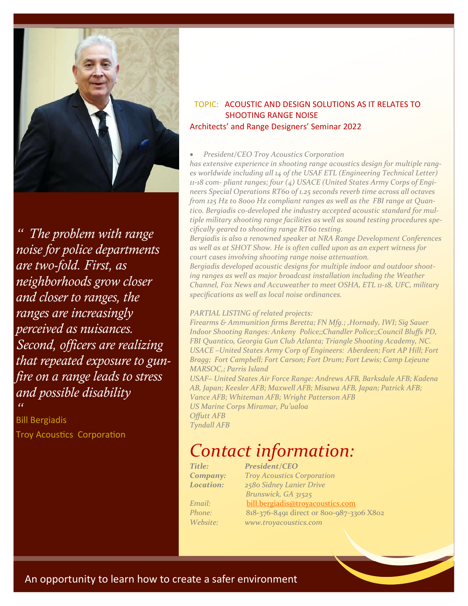

*" The problem with range noise for police departments are two-fold. First, as neighborhoods grow closer and closer to ranges, the ranges are increasingly perceived as nuisances. Second, officers are realizing that repeated exposure to gunfire on a range leads to stress and possible disability*  $\alpha$ 

Bill Bergiadis Troy Acoustics Corporation

### TOPIC: ACOUSTIC AND DESIGN SOLUTIONS AS IT RELATES TO SHOOTING RANGE NOISE Architects' and Range Designers' Seminar 2022

#### *President/CEO Troy Acoustics Corporation*

*has extensive experience in shooting range acoustics design for multiple ranges worldwide including all 14 of the USAF ETL (Engineering Technical Letter) 11-18 com- pliant ranges; four (4) USACE (United States Army Corps of Engineers Special Operations RT60 of 1.25 seconds reverb time across all octaves from 125 Hz to 8000 Hz compliant ranges as well as the FBI range at Quantico. Bergiadis co-developed the industry accepted acoustic standard for multiple military shooting range facilities as well as sound testing procedures specifically geared to shooting range RT60 testing.*

*Bergiadis is also a renowned speaker at NRA Range Development Conferences as well as at SHOT Show. He is often called upon as an expert witness for court cases involving shooting range noise attenuation.*

*Bergiadis developed acoustic designs for multiple indoor and outdoor shooting ranges as well as major broadcast installation including the Weather Channel, Fox News and Accuweather to meet OSHA, ETL 11-18, UFC, military specifications as well as local noise ordinances.*

#### *PARTIAL LISTING of related projects:*

*Firearms & Ammunition firms Beretta; FN Mfg.; ,Hornady, IWI; Sig Sauer Indoor Shooting Ranges: Ankeny Police;;Chandler Police;;Council Bluffs PD, FBI Quantico, Georgia Gun Club Atlanta; Triangle Shooting Academy, NC. USACE –United States Army Corp of Engineers: Aberdeen; Fort AP Hill; Fort Bragg; Fort Campbell; Fort Carson; Fort Drum; Fort Lewis; Camp Lejeune MARSOC,; Parris Island*

*USAF– United States Air Force Range: Andrews AFB, Barksdale AFB; Kadena AB, Japan; Keesler AFB; Maxwell AFB; Misawa AFB, Japan; Patrick AFB; Vance AFB; Whiteman AFB; Wright Patterson AFB US Marine Corps Miramar, Pu'ualoa Offutt AFB*

*Contact information:*

*Title: President/CEO Company: Troy Acoustics Corporation Location: 2580 Sidney Lanier Drive Brunswick, GA 31525 Email:* bill.bergiadis@troyacoustics.com *Phone:* 818-376-8491 direct or 800-987-3306 X802 *Website: www.troyacoustics.com*

*Tyndall AFB*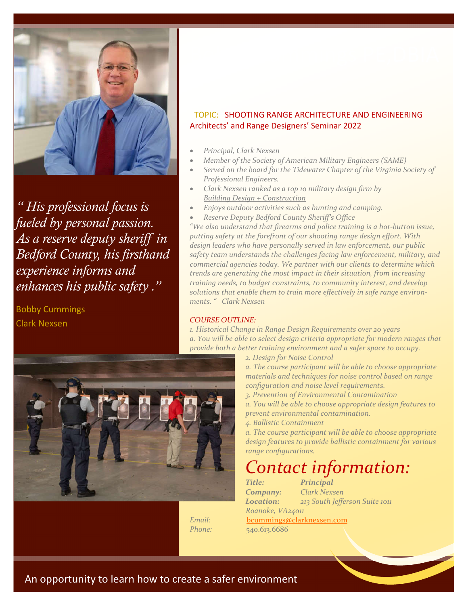

*" His professional focus is fueled by personal passion. As a reserve deputy sheriff in Bedford County, his firsthand experience informs and enhances his public safety ."*

Bobby Cummings Clark Nexsen



- *Principal, Clark Nexsen*
- *Member of the Society of American Military Engineers (SAME)*
- *Served on the board for the Tidewater Chapter of the Virginia Society of Professional Engineers.*
- *Clark Nexsen ranked as a top 10 military design firm by Building Design + Construction*
- *Enjoys outdoor activities such as hunting and camping.*
- *Reserve Deputy Bedford County Sheriff's Office*

*"We also understand that firearms and police training is a hot-button issue, putting safety at the forefront of our shooting range design effort. With design leaders who have personally served in law enforcement, our public safety team understands the challenges facing law enforcement, military, and commercial agencies today. We partner with our clients to determine which trends are generating the most impact in their situation, from increasing training needs, to budget constraints, to community interest, and develop solutions that enable them to train more effectively in safe range environments. " Clark Nexsen* 

#### *COURSE OUTLINE:*

*1. Historical Change in Range Design Requirements over 20 years a. You will be able to select design criteria appropriate for modern ranges that provide both a better training environment and a safer space to occupy.*

*2. Design for Noise Control*

*a. The course participant will be able to choose appropriate materials and techniques for noise control based on range configuration and noise level requirements.*

- *3. Prevention of Environmental Contamination*
- *a. You will be able to choose appropriate design features to prevent environmental contamination.*
- *4. Ballistic Containment*

*a. The course participant will be able to choose appropriate design features to provide ballistic containment for various range configurations.*

### *Contact information:*

*Title: Principal Company: Clark Nexsen Roanoke, VA24011*

*Location: 213 South Jefferson Suite 1011 Email:* bcummings@clarknexsen.com

*Phone:* 540.613.6686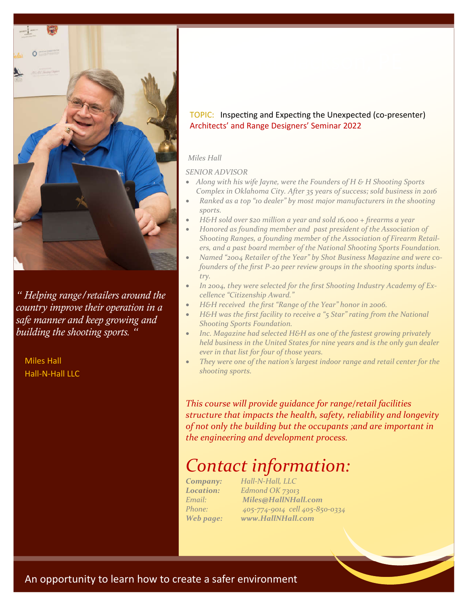

*" Helping range/retailers around the country improve their operation in a safe manner and keep growing and building the shooting sports. "*

Miles Hall Hall-N-Hall LLC

### TOPIC: Inspecting and Expecting the Unexpected (co-presenter) Architects' and Range Designers' Seminar 2022

#### *Miles Hall*

#### *SENIOR ADVISOR*

- *Along with his wife Jayne, were the Founders of H & H Shooting Sports Complex in Oklahoma City. After 35 years of success; sold business in 2016*
- *Ranked as a top "10 dealer" by most major manufacturers in the shooting sports.*
- *H&H sold over \$20 million a year and sold 16,000 + firearms a year*
- *Honored as founding member and past president of the Association of Shooting Ranges, a founding member of the Association of Firearm Retailers, and a past board member of the National Shooting Sports Foundation.*
- *Named "2004 Retailer of the Year" by Shot Business Magazine and were cofounders of the first P-20 peer review groups in the shooting sports industry.*
- *In 2004, they were selected for the first Shooting Industry Academy of Excellence "Citizenship Award."*
- *H&H received the first "Range of the Year" honor in 2006.*
- *H&H was the first facility to receive a "5 Star" rating from the National Shooting Sports Foundation.*
- *Inc. Magazine had selected H&H as one of the fastest growing privately held business in the United States for nine years and is the only gun dealer ever in that list for four of those years.*
- *They were one of the nation's largest indoor range and retail center for the shooting sports.*

*This course will provide guidance for range/retail facilities structure that impacts the health, safety, reliability and longevity of not only the building but the occupants ;and are important in the engineering and development process.*

### *Contact information:*

*Company: Hall-N-Hall, LLC Location: Edmond OK 73013 Email: Miles@HallNHall.com Phone: 405-774-9014 cell 405-850-0334 Web page: www.HallNHall.com*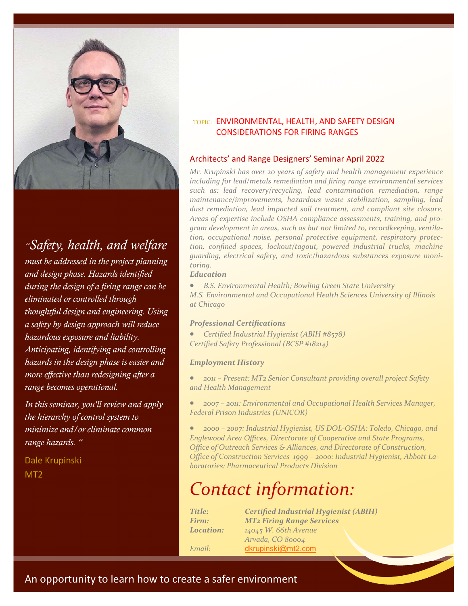

*"Safety, health, and welfare must be addressed in the project planning and design phase. Hazards identified during the design of a firing range can be eliminated or controlled through thoughtful design and engineering. Using a safety by design approach will reduce hazardous exposure and liability. Anticipating, identifying and controlling hazards in the design phase is easier and more effective than redesigning after a range becomes operational.* 

*In this seminar, you'll review and apply the hierarchy of control system to minimize and/or eliminate common range hazards. "*

Dale Krupinski MT2

### TOPIC: ENVIRONMENTAL, HEALTH, AND SAFETY DESIGN CONSIDERATIONS FOR FIRING RANGES

### Architects' and Range Designers' Seminar April 2022

*Mr. Krupinski has over 20 years of safety and health management experience including for lead/metals remediation and firing range environmental services such as: lead recovery/recycling, lead contamination remediation, range maintenance/improvements, hazardous waste stabilization, sampling, lead dust remediation, lead impacted soil treatment, and compliant site closure. Areas of expertise include OSHA compliance assessments, training, and program development in areas, such as but not limited to, recordkeeping, ventilation, occupational noise, personal protective equipment, respiratory protection, confined spaces, lockout/tagout, powered industrial trucks, machine guarding, electrical safety, and toxic/hazardous substances exposure monitoring.*

#### *Education*

 *B.S. Environmental Health; Bowling Green State University M.S. Environmental and Occupational Health Sciences University of Illinois at Chicago*

#### *Professional Certifications*

 *Certified Industrial Hygienist (ABIH #8578) Certified Safety Professional (BCSP #18214)*

#### *Employment History*

 *2011 – Present: MT2 Senior Consultant providing overall project Safety and Health Management*

 *2007 – 2011: Environmental and Occupational Health Services Manager, Federal Prison Industries (UNICOR)*

 *2000 – 2007: Industrial Hygienist, US DOL-OSHA: Toledo, Chicago, and Englewood Area Offices, Directorate of Cooperative and State Programs, Office of Outreach Services & Alliances, and Directorate of Construction, Office of Construction Services 1999 – 2000: Industrial Hygienist, Abbott Laboratories: Pharmaceutical Products Division*

## *Contact information:*

*Title: Certified Industrial Hygienist (ABIH) Firm: MT2 Firing Range Services Location: 14045 W. 66th Avenue Arvada, CO 80004 Email:* dkrupinski@mt2.com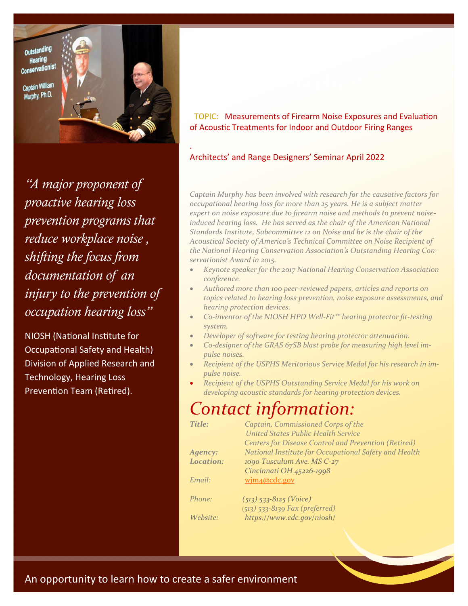Outstanding Hearing Conservationist

Captain William Murphy, Ph.D.



.

*"A major proponent of proactive hearing loss prevention programs that reduce workplace noise , shifting the focus from documentation of an injury to the prevention of occupation hearing loss"*

NIOSH (National Institute for Occupational Safety and Health) Division of Applied Research and Technology, Hearing Loss Prevention Team (Retired).

TOPIC: Measurements of Firearm Noise Exposures and Evaluation of Acoustic Treatments for Indoor and Outdoor Firing Ranges

#### Architects' and Range Designers' Seminar April 2022

*Captain Murphy has been involved with research for the causative factors for occupational hearing loss for more than 25 years. He is a subject matter expert on noise exposure due to firearm noise and methods to prevent noiseinduced hearing loss. He has served as the chair of the American National Standards Institute, Subcommittee 12 on Noise and he is the chair of the Acoustical Society of America's Technical Committee on Noise Recipient of the National Hearing Conservation Association's Outstanding Hearing Conservationist Award in 2015.*

- *Keynote speaker for the 2017 National Hearing Conservation Association conference.*
- *Authored more than 100 peer-reviewed papers, articles and reports on topics related to hearing loss prevention, noise exposure assessments, and hearing protection devices.*
- *Co-inventor of the NIOSH HPD Well-Fit™ hearing protector fit-testing system.*
- *Developer of software for testing hearing protector attenuation.*
- *Co-designer of the GRAS 67SB blast probe for measuring high level impulse noises.*
- *Recipient of the USPHS Meritorious Service Medal for his research in impulse noise.*
- *Recipient of the USPHS Outstanding Service Medal for his work on developing acoustic standards for hearing protection devices.*

### *Contact information:*

*Website: https://www.cdc.gov/niosh/*

| <b>Title:</b>    | Captain, Commissioned Corps of the                          |  |  |
|------------------|-------------------------------------------------------------|--|--|
|                  | United States Public Health Service                         |  |  |
|                  | <b>Centers for Disease Control and Prevention (Retired)</b> |  |  |
| Agency:          | National Institute for Occupational Safety and Health       |  |  |
| <b>Location:</b> | 1090 Tusculum Ave. MS C-27                                  |  |  |
|                  | Cincinnati OH 45226-1998                                    |  |  |
| Email:           | wim4@cdc.gov                                                |  |  |
| Phone:           | $(513)$ 533-8125 (Voice)                                    |  |  |
|                  | $(513)$ 533-8139 Fax (preferred)                            |  |  |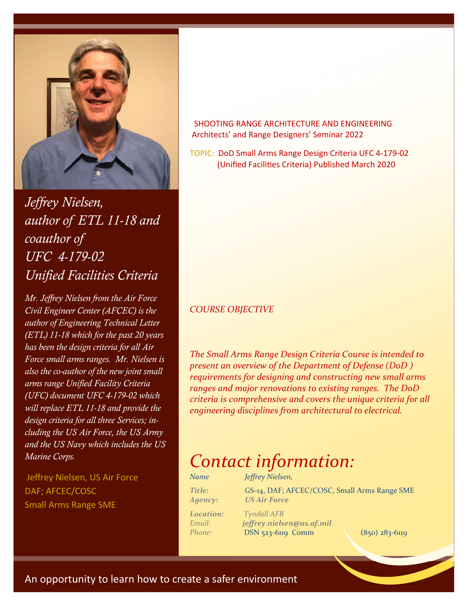

*Jeffrey Nielsen, author of ETL 11-18 and coauthor of UFC 4-179-02 Unified Facilities Criteria*

*Mr. Jeffrey Nielsen from the Air Force Civil Engineer Center (AFCEC) is the author of Engineering Technical Letter (ETL) 11-18 which for the past 20 years has been the design criteria for all Air Force small arms ranges. Mr. Nielsen is also the co-author of the new joint small arms range Unified Facility Criteria (UFC) document UFC 4-179-02 which will replace ETL 11-18 and provide the design criteria for all three Services; including the US Air Force, the US Army and the US Navy which includes the US Marine Corps.*

Jeffrey Nielsen, US Air Force DAF; AFCEC/COSC Small Arms Range SME

### SHOOTING RANGE ARCHITECTURE AND ENGINEERING Architects' and Range Designers' Seminar 2022

TOPIC: DoD Small Arms Range Design Criteria UFC 4-179-02 (Unified Facilities Criteria) Published March 2020

### *COURSE OBJECTIVE*

*The Small Arms Range Design Criteria Course is intended to present an overview of the Department of Defense (DoD ) requirements for designing and constructing new small arms ranges and major renovations to existing ranges. The DoD criteria is comprehensive and covers the unique criteria for all engineering disciplines from architectural to electrical.*

### *Contact information:*

| Name                     | Jeffrey Nielsen,                                                    |                  |
|--------------------------|---------------------------------------------------------------------|------------------|
| <b>Title:</b><br>Agency: | GS-14, DAF; AFCEC/COSC, Small Arms Range SME<br><b>US Air Force</b> |                  |
| <b>Location:</b>         | <b>Tyndall AFB</b>                                                  |                  |
| Email:                   | jeffrey.nielsen@us.af.mil                                           |                  |
| Phone:                   | $DSN$ 523-6119 Comm                                                 | $(850)$ 283-6119 |

 $(850)$  283-6119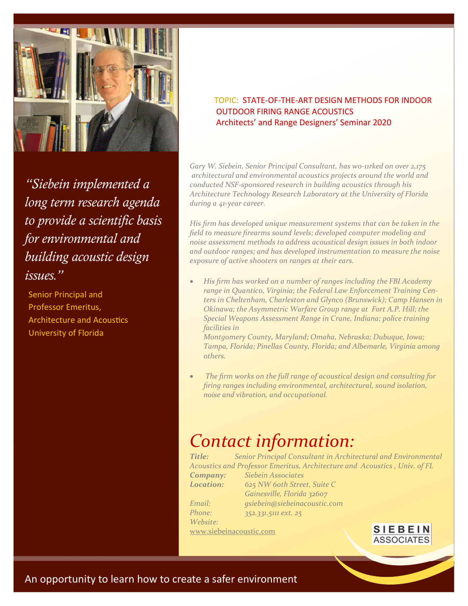

*"Siebein implemented a long term research agenda to provide a scientific basis for environmental and building acoustic design issues."*

Senior Principal and Professor Emeritus, Architecture and Acoustics University of Florida

### TOPIC: STATE-OF-THE-ART DESIGN METHODS FOR INDOOR OUTDOOR FIRING RANGE ACOUSTICS Architects' and Range Designers' Seminar 2020

*Gary W. Siebein, Senior Principal Consultant, has w0-11rked on over 2,175 architectural and environmental acoustics projects around the world and conducted NSF-sponsored research in building acoustics through his Architecture Technology Research Laboratory at the University of Florida during a 41-year career.* 

*His firm has developed unique measurement systems that can be taken in the field to measure firearms sound levels; developed computer modeling and noise assessment methods to address acoustical design issues in both indoor and outdoor ranges; and has developed instrumentation to measure the noise exposure of active shooters on ranges at their ears.* 

 *His firm has worked on a number of ranges including the FBI Academy range in Quantico, Virginia; the Federal Law Enforcement Training Centers in Cheltenham, Charleston and Glynco (Brunswick); Camp Hansen in Okinawa; the Asymmetric Warfare Group range at Fort A.P. Hill; the Special Weapons Assessment Range in Crane, Indiana; police training facilities in* 

*Montgomery County, Maryland; Omaha, Nebraska; Dubuque, Iowa; Tampa, Florida; Pinellas County, Florida; and Albemarle, Virginia among others.* 

 *The firm works on the full range of acoustical design and consulting for firing ranges including environmental, architectural, sound isolation, noise and vibration, and occupational.*

# *Contact information:*

*Title: Senior Principal Consultant in Architectural and Environmental Acoustics and Professor Emeritus, Architecture and Acoustics , Univ. of FL Company: Siebein Associates Location: 625 NW 60th Street, Suite C Gainesville, Florida 32607 Email: gsiebein@siebeinacoustic.com Phone: 352.331.5111 ext. 25* 

*Website:*

www.siebeinacoustic.com

**SIEBEIN ASSOCIATES**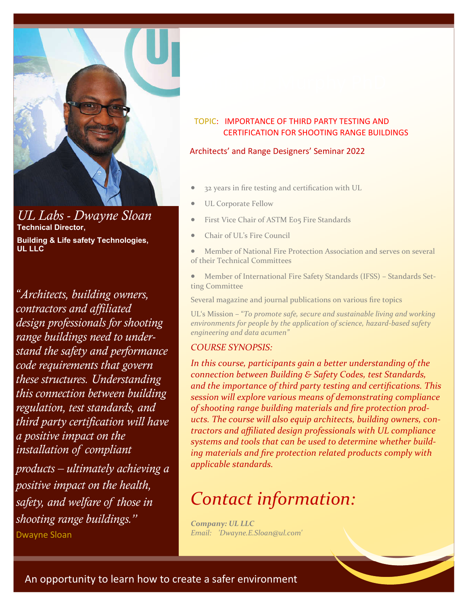

*UL Labs - Dwayne Sloan* **Technical Director,** 

**Building & Life safety Technologies, UL LLC**

*"Architects, building owners, contractors and affiliated design professionals for shooting range buildings need to understand the safety and performance code requirements that govern these structures. Understanding this connection between building regulation, test standards, and third party certification will have a positive impact on the installation of compliant products – ultimately achieving a positive impact on the health, safety, and welfare of those in shooting range buildings."* Dwayne Sloan

### TOPIC: IMPORTANCE OF THIRD PARTY TESTING AND CERTIFICATION FOR SHOOTING RANGE BUILDINGS

#### Architects' and Range Designers' Seminar 2022

- 32 years in fire testing and certification with UL
- UL Corporate Fellow
- First Vice Chair of ASTM E05 Fire Standards
- Chair of UL's Fire Council

 Member of National Fire Protection Association and serves on several of their Technical Committees

 Member of International Fire Safety Standards (IFSS) – Standards Setting Committee

Several magazine and journal publications on various fire topics

UL's Mission – "*To promote safe, secure and sustainable living and working environments for people by the application of science, hazard-based safety engineering and data acumen"*

#### *COURSE SYNOPSIS:*

*In this course, participants gain a better understanding of the connection between Building & Safety Codes, test Standards, and the importance of third party testing and certifications. This session will explore various means of demonstrating compliance of shooting range building materials and fire protection products. The course will also equip architects, building owners, contractors and affiliated design professionals with UL compliance systems and tools that can be used to determine whether building materials and fire protection related products comply with applicable standards.* 

### *Contact information:*

*Company: UL LLC Email: 'Dwayne.E.Sloan@ul.com'*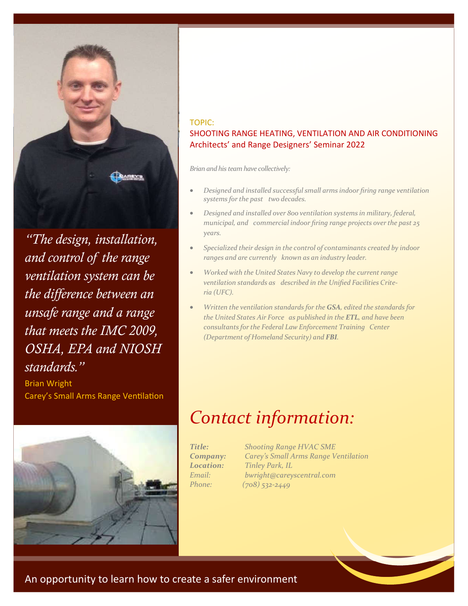

*"The design, installation, and control of the range ventilation system can be the difference between an unsafe range and a range that meets the IMC 2009, OSHA, EPA and NIOSH standards."*

Brian Wright Carey's Small Arms Range Ventilation



### TOPIC: SHOOTING RANGE HEATING, VENTILATION AND AIR CONDITIONING Architects' and Range Designers' Seminar 2022

*Brian and his team have collectively:*

- *Designed and installed successful small arms indoor firing range ventilation systems forthe past two decades.*
- *Designed and installed over 800 ventilation systems in military, federal, municipal, and commercial indoor firing range projects over the past 25 years.*
- *Specialized their design in the control of contaminants created by indoor ranges and are currently known as an industry leader.*
- *Worked* with the United States Navy to develop the current range *ventilation standards as described in the Unified Facilities Criteria (UFC).*
- *Written the ventilation standards for the GSA, edited the standards for the United States Air Force as published in the ETL, and have been consultants forthe Federal Law Enforcement Training Center (Department of Homeland Security) and FBI.*

# *Contact information:*

*Title: Shooting Range HVAC SME Company: Carey's Small Arms Range Ventilation Location: Tinley Park, IL Email: bwright@careyscentral.com Phone: (708) 532-2449*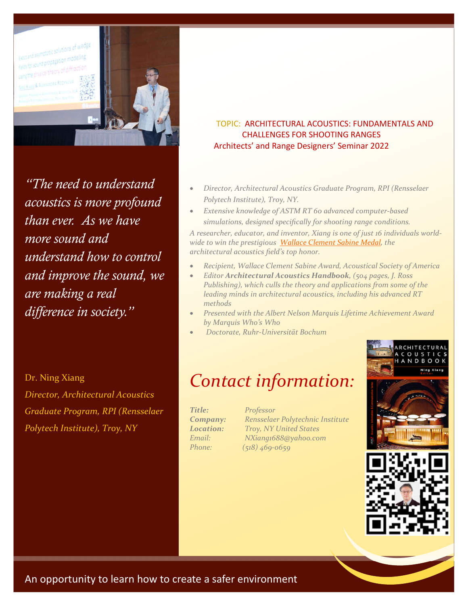

*"The need to understand acoustics is more profound than ever. As we have more sound and understand how to control and improve the sound, we are making a real difference in society."*

Dr. Ning Xiang

*Director, Architectural Acoustics Graduate Program, RPI (Rensselaer Polytech Institute), Troy, NY*

### TOPIC: TOPIC: ARCHITECTURAL ACOUSTICS: FUNDAMENTALS AND CHALLENGES FOR SHOOTING RANGES Architects' and Range Designers' Seminar 2022

- *Director, Architectural Acoustics Graduate Program, RPI (Rensselaer Polytech Institute), Troy, NY.*
- *Extensive knowledge of ASTM RT 60 advanced computer-based simulations, designed specifically for shooting range conditions.*

*A researcher, educator, and inventor, Xiang is one of just 16 individuals worldwide to win the prestigious Wallace Clement Sabine Medal, the architectural acoustics field's top honor.* 

- *Recipient, Wallace Clement Sabine Award, Acoustical Society of America*
- *Editor Architectural Acoustics Handbook, (504 pages, J. Ross Publishing), which culls the theory and applications from some of the leading minds in architectural acoustics, including his advanced RT methods*
- *Presented with the Albert Nelson Marquis Lifetime Achievement Award by Marquis Who's Who*
- *Doctorate, Ruhr-Universität Bochum*

### *Contact information:*

*Title: Professor*

*Company: Rensselaer Polytechnic Institute Location: Troy, NY United States Email: NXiang1688@yahoo.com Phone: (518) 469-0659*